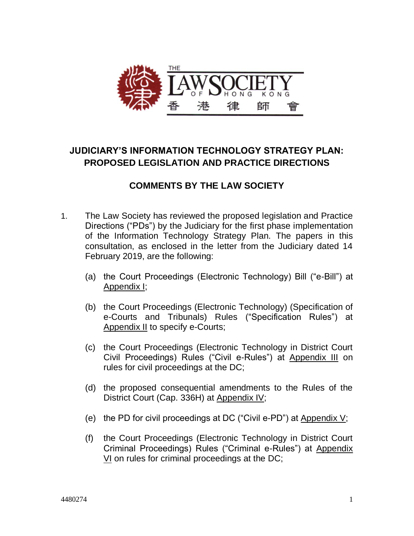

# **JUDICIARY'S INFORMATION TECHNOLOGY STRATEGY PLAN: PROPOSED LEGISLATION AND PRACTICE DIRECTIONS**

# **COMMENTS BY THE LAW SOCIETY**

- 1. The Law Society has reviewed the proposed legislation and Practice Directions ("PDs") by the Judiciary for the first phase implementation of the Information Technology Strategy Plan. The papers in this consultation, as enclosed in the letter from the Judiciary dated 14 February 2019, are the following:
	- (a) the Court Proceedings (Electronic Technology) Bill ("e-Bill") at Appendix I;
	- (b) the Court Proceedings (Electronic Technology) (Specification of e-Courts and Tribunals) Rules ("Specification Rules") at Appendix II to specify e-Courts;
	- (c) the Court Proceedings (Electronic Technology in District Court Civil Proceedings) Rules ("Civil e-Rules") at Appendix III on rules for civil proceedings at the DC;
	- (d) the proposed consequential amendments to the Rules of the District Court (Cap. 336H) at Appendix IV;
	- (e) the PD for civil proceedings at DC ("Civil e-PD") at Appendix  $V$ ;
	- (f) the Court Proceedings (Electronic Technology in District Court Criminal Proceedings) Rules ("Criminal e-Rules") at Appendix VI on rules for criminal proceedings at the DC;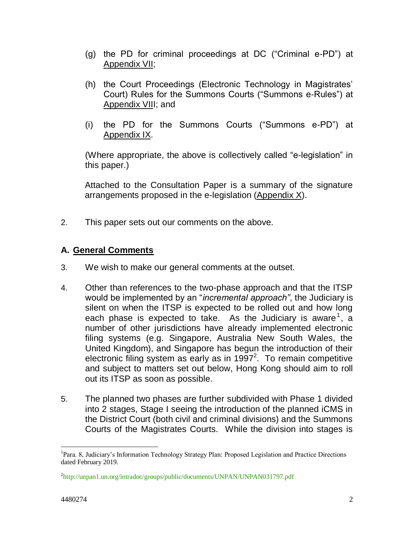- (g) the PD for criminal proceedings at DC ("Criminal e-PD") at Appendix VII;
- (h) the Court Proceedings (Electronic Technology in Magistrates' Court) Rules for the Summons Courts ("Summons e-Rules") at Appendix VIII; and
- (i) the PD for the Summons Courts ("Summons e-PD") at Appendix IX.

(Where appropriate, the above is collectively called "e-legislation" in this paper.)

Attached to the Consultation Paper is a summary of the signature arrangements proposed in the e-legislation (Appendix X).

2. This paper sets out our comments on the above.

## **A. General Comments**

- 3. We wish to make our general comments at the outset.
- 4. Other than references to the two-phase approach and that the ITSP would be implemented by an "*incremental approach"*, the Judiciary is silent on when the ITSP is expected to be rolled out and how long each phase is expected to take. As the Judiciary is aware<sup>1</sup>, a number of other jurisdictions have already implemented electronic filing systems (e.g. Singapore, Australia New South Wales, the United Kingdom), and Singapore has begun the introduction of their electronic filing system as early as in 1997<sup>2</sup>. To remain competitive and subject to matters set out below, Hong Kong should aim to roll out its ITSP as soon as possible.
- 5. The planned two phases are further subdivided with Phase 1 divided into 2 stages, Stage I seeing the introduction of the planned iCMS in the District Court (both civil and criminal divisions) and the Summons Courts of the Magistrates Courts. While the division into stages is

 $\overline{a}$ 

<sup>&</sup>lt;sup>1</sup>Para. 8, Judiciary's Information Technology Strategy Plan: Proposed Legislation and Practice Directions dated February 2019.

<sup>&</sup>lt;sup>2</sup><http://unpan1.un.org/intradoc/groups/public/documents/UNPAN/UNPAN031797.pdf>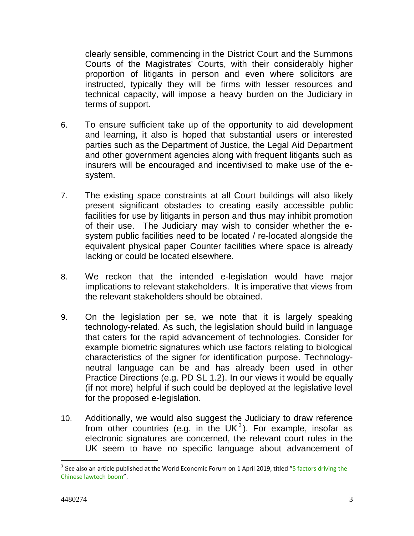clearly sensible, commencing in the District Court and the Summons Courts of the Magistrates' Courts, with their considerably higher proportion of litigants in person and even where solicitors are instructed, typically they will be firms with lesser resources and technical capacity, will impose a heavy burden on the Judiciary in terms of support.

- 6. To ensure sufficient take up of the opportunity to aid development and learning, it also is hoped that substantial users or interested parties such as the Department of Justice, the Legal Aid Department and other government agencies along with frequent litigants such as insurers will be encouraged and incentivised to make use of the esystem.
- 7. The existing space constraints at all Court buildings will also likely present significant obstacles to creating easily accessible public facilities for use by litigants in person and thus may inhibit promotion of their use. The Judiciary may wish to consider whether the esystem public facilities need to be located / re-located alongside the equivalent physical paper Counter facilities where space is already lacking or could be located elsewhere.
- 8. We reckon that the intended e-legislation would have major implications to relevant stakeholders. It is imperative that views from the relevant stakeholders should be obtained.
- 9. On the legislation per se, we note that it is largely speaking technology-related. As such, the legislation should build in language that caters for the rapid advancement of technologies. Consider for example [biometric signatures](https://en.wikipedia.org/wiki/Electronic_signature#Technological_implementations_(underlying_technology)) which use factors relating to biological characteristics of the signer for identification purpose. Technologyneutral language can be and has already been used in other Practice Directions (e.g. PD SL 1.2). In our views it would be equally (if not more) helpful if such could be deployed at the legislative level for the proposed e-legislation.
- 10. Additionally, we would also suggest the Judiciary to draw reference from other countries (e.g. in the UK<sup>3</sup>). For example, insofar as electronic signatures are concerned, the relevant court rules in the UK seem to have no specific language about advancement of

 $\overline{a}$ 

 $^3$  See also an article published at the World Economic Forum on 1 April 2019, titled "5 factors driving the [Chinese lawtech boom](https://nethunt.co/api/v1/track/link/click/5c982654d23c1b3d70934a74/1554171530263/?link=https%3A%2F%2Fwww.weforum.org%2Fagenda%2F2019%2F04%2F5-factors-driving-the-chinese-lawtech-boom%2F%3Ffbclid%3DIwAR1DarcHX9zDPaAly4vuHu_-R-T7NJFieAard9XjycHtmzX1PH6vaG_nrZk)".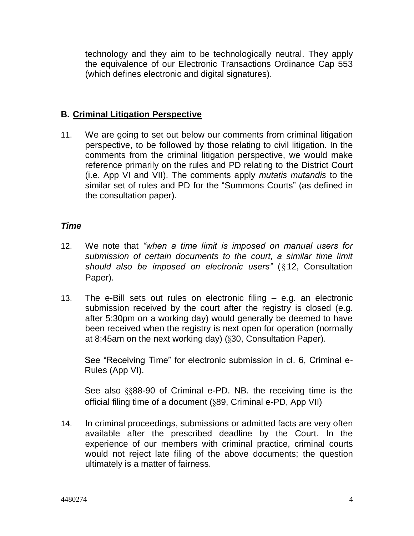technology and they aim to be technologically neutral. They apply the equivalence of our Electronic Transactions Ordinance Cap 553 (which defines electronic and digital signatures).

## **B. Criminal Litigation Perspective**

11. We are going to set out below our comments from criminal litigation perspective, to be followed by those relating to civil litigation. In the comments from the criminal litigation perspective, we would make reference primarily on the rules and PD relating to the District Court (i.e. App VI and VII). The comments apply *mutatis mutandis* to the similar set of rules and PD for the "Summons Courts" (as defined in the consultation paper).

### *Time*

- 12. We note that *"when a time limit is imposed on manual users for submission of certain documents to the court, a similar time limit should also be imposed on electronic users"* ( § 12, Consultation Paper).
- 13. The e-Bill sets out rules on electronic filing e.g. an electronic submission received by the court after the registry is closed (e.g. after 5:30pm on a working day) would generally be deemed to have been received when the registry is next open for operation (normally at 8:45am on the next working day) (§30, Consultation Paper).

See "Receiving Time" for electronic submission in cl. 6, Criminal e-Rules (App VI).

See also §§88-90 of Criminal e-PD. NB. the receiving time is the official filing time of a document (§89, Criminal e-PD, App VII)

14. In criminal proceedings, submissions or admitted facts are very often available after the prescribed deadline by the Court. In the experience of our members with criminal practice, criminal courts would not reject late filing of the above documents; the question ultimately is a matter of fairness.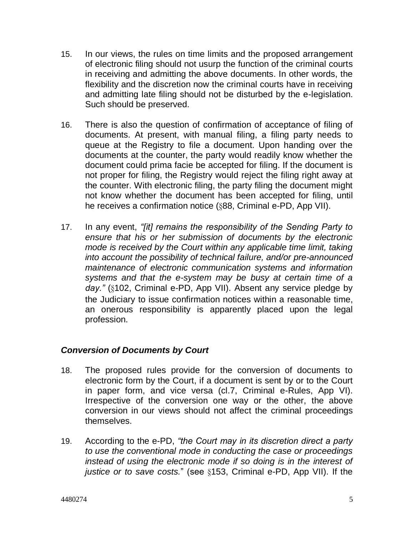- 15. In our views, the rules on time limits and the proposed arrangement of electronic filing should not usurp the function of the criminal courts in receiving and admitting the above documents. In other words, the flexibility and the discretion now the criminal courts have in receiving and admitting late filing should not be disturbed by the e-legislation. Such should be preserved.
- 16. There is also the question of confirmation of acceptance of filing of documents. At present, with manual filing, a filing party needs to queue at the Registry to file a document. Upon handing over the documents at the counter, the party would readily know whether the document could prima facie be accepted for filing. If the document is not proper for filing, the Registry would reject the filing right away at the counter. With electronic filing, the party filing the document might not know whether the document has been accepted for filing, until he receives a confirmation notice (§88, Criminal e-PD, App VII).
- 17. In any event, *"[it] remains the responsibility of the Sending Party to ensure that his or her submission of documents by the electronic mode is received by the Court within any applicable time limit, taking into account the possibility of technical failure, and/or pre-announced maintenance of electronic communication systems and information systems and that the e-system may be busy at certain time of a*  day." (§102, Criminal e-PD, App VII). Absent any service pledge by the Judiciary to issue confirmation notices within a reasonable time, an onerous responsibility is apparently placed upon the legal profession.

## *Conversion of Documents by Court*

- 18. The proposed rules provide for the conversion of documents to electronic form by the Court, if a document is sent by or to the Court in paper form, and vice versa (cl.7, Criminal e-Rules, App VI). Irrespective of the conversion one way or the other, the above conversion in our views should not affect the criminal proceedings themselves.
- 19. According to the e-PD, *"the Court may in its discretion direct a party to use the conventional mode in conducting the case or proceedings instead of using the electronic mode if so doing is in the interest of justice or to save costs.*" (see §153, Criminal e-PD, App VII). If the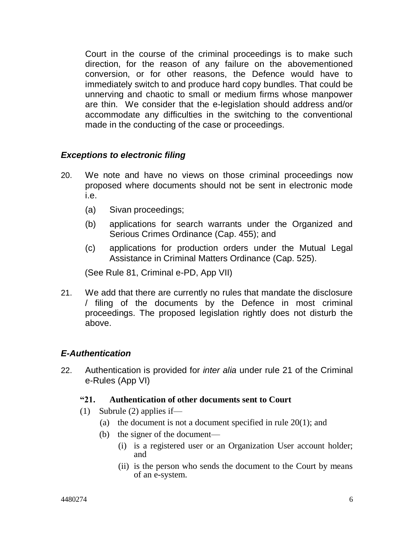Court in the course of the criminal proceedings is to make such direction, for the reason of any failure on the abovementioned conversion, or for other reasons, the Defence would have to immediately switch to and produce hard copy bundles. That could be unnerving and chaotic to small or medium firms whose manpower are thin. We consider that the e-legislation should address and/or accommodate any difficulties in the switching to the conventional made in the conducting of the case or proceedings.

## *Exceptions to electronic filing*

- 20. We note and have no views on those criminal proceedings now proposed where documents should not be sent in electronic mode i.e.
	- (a) Sivan proceedings;
	- (b) applications for search warrants under the Organized and Serious Crimes Ordinance (Cap. 455); and
	- (c) applications for production orders under the Mutual Legal Assistance in Criminal Matters Ordinance (Cap. 525).

(See Rule 81, Criminal e-PD, App VII)

21. We add that there are currently no rules that mandate the disclosure / filing of the documents by the Defence in most criminal proceedings. The proposed legislation rightly does not disturb the above.

## *E-Authentication*

22. Authentication is provided for *inter alia* under rule 21 of the Criminal e-Rules (App VI)

### **"21. Authentication of other documents sent to Court**

- (1) Subrule (2) applies if—
	- (a) the document is not a document specified in rule  $20(1)$ ; and
	- (b) the signer of the document—
		- (i) is a registered user or an Organization User account holder; and
		- (ii) is the person who sends the document to the Court by means of an e-system.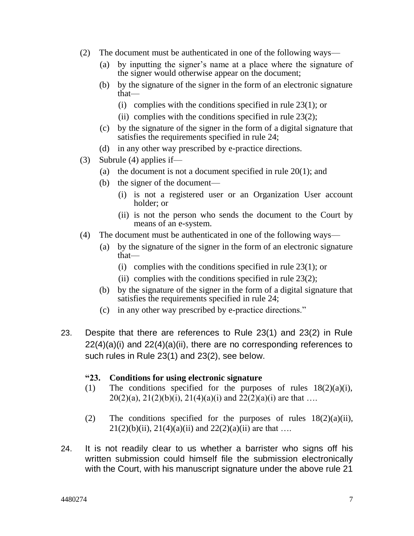- (2) The document must be authenticated in one of the following ways—
	- (a) by inputting the signer's name at a place where the signature of the signer would otherwise appear on the document;
	- (b) by the signature of the signer in the form of an electronic signature that—
		- (i) complies with the conditions specified in rule 23(1); or
		- (ii) complies with the conditions specified in rule  $23(2)$ ;
	- (c) by the signature of the signer in the form of a digital signature that satisfies the requirements specified in rule 24;
	- (d) in any other way prescribed by e-practice directions.
- (3) Subrule (4) applies if—
	- (a) the document is not a document specified in rule 20(1); and
	- (b) the signer of the document—
		- (i) is not a registered user or an Organization User account holder; or
		- (ii) is not the person who sends the document to the Court by means of an e-system.
- (4) The document must be authenticated in one of the following ways—
	- (a) by the signature of the signer in the form of an electronic signature that—
		- (i) complies with the conditions specified in rule  $23(1)$ ; or
		- (ii) complies with the conditions specified in rule  $23(2)$ ;
	- (b) by the signature of the signer in the form of a digital signature that satisfies the requirements specified in rule 24;
	- (c) in any other way prescribed by e-practice directions."
- 23. Despite that there are references to Rule 23(1) and 23(2) in Rule  $22(4)(a)(i)$  and  $22(4)(a)(ii)$ , there are no corresponding references to such rules in Rule 23(1) and 23(2), see below.

### **"23. Conditions for using electronic signature**

- (1) The conditions specified for the purposes of rules 18(2)(a)(i),  $20(2)(a)$ ,  $21(2)(b)(i)$ ,  $21(4)(a)(i)$  and  $22(2)(a)(i)$  are that ...
- (2) The conditions specified for the purposes of rules  $18(2)(a)(ii)$ ,  $21(2)(b)(ii)$ ,  $21(4)(a)(ii)$  and  $22(2)(a)(ii)$  are that ...
- 24. It is not readily clear to us whether a barrister who signs off his written submission could himself file the submission electronically with the Court, with his manuscript signature under the above rule 21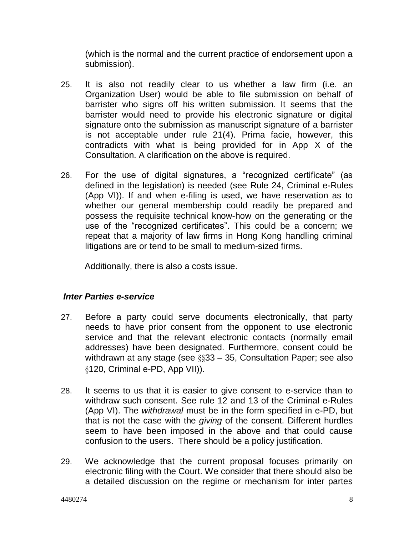(which is the normal and the current practice of endorsement upon a submission).

- 25. It is also not readily clear to us whether a law firm (i.e. an Organization User) would be able to file submission on behalf of barrister who signs off his written submission. It seems that the barrister would need to provide his electronic signature or digital signature onto the submission as manuscript signature of a barrister is not acceptable under rule 21(4). Prima facie, however, this contradicts with what is being provided for in App X of the Consultation. A clarification on the above is required.
- 26. For the use of digital signatures, a "recognized certificate" (as defined in the legislation) is needed (see Rule 24, Criminal e-Rules (App VI)). If and when e-filing is used, we have reservation as to whether our general membership could readily be prepared and possess the requisite technical know-how on the generating or the use of the "recognized certificates". This could be a concern; we repeat that a majority of law firms in Hong Kong handling criminal litigations are or tend to be small to medium-sized firms.

Additionally, there is also a costs issue.

## *Inter Parties e-service*

- 27. Before a party could serve documents electronically, that party needs to have prior consent from the opponent to use electronic service and that the relevant electronic contacts (normally email addresses) have been designated. Furthermore, consent could be withdrawn at any stage (see §§33 – 35, Consultation Paper; see also §120, Criminal e-PD, App VII)).
- 28. It seems to us that it is easier to give consent to e-service than to withdraw such consent. See rule 12 and 13 of the Criminal e-Rules (App VI). The *withdrawal* must be in the form specified in e-PD, but that is not the case with the *giving* of the consent. Different hurdles seem to have been imposed in the above and that could cause confusion to the users. There should be a policy justification.
- 29. We acknowledge that the current proposal focuses primarily on electronic filing with the Court. We consider that there should also be a detailed discussion on the regime or mechanism for inter partes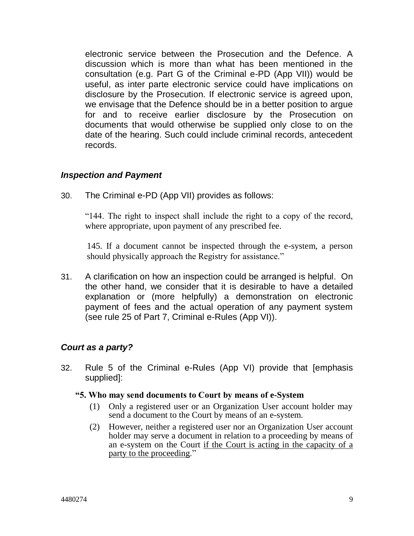electronic service between the Prosecution and the Defence. A discussion which is more than what has been mentioned in the consultation (e.g. Part G of the Criminal e-PD (App VII)) would be useful, as inter parte electronic service could have implications on disclosure by the Prosecution. If electronic service is agreed upon, we envisage that the Defence should be in a better position to argue for and to receive earlier disclosure by the Prosecution on documents that would otherwise be supplied only close to on the date of the hearing. Such could include criminal records, antecedent records.

### *Inspection and Payment*

30. The Criminal e-PD (App VII) provides as follows:

"144. The right to inspect shall include the right to a copy of the record, where appropriate, upon payment of any prescribed fee.

145. If a document cannot be inspected through the e-system, a person should physically approach the Registry for assistance."

31. A clarification on how an inspection could be arranged is helpful. On the other hand, we consider that it is desirable to have a detailed explanation or (more helpfully) a demonstration on electronic payment of fees and the actual operation of any payment system (see rule 25 of Part 7, Criminal e-Rules (App VI)).

## *Court as a party?*

32. Rule 5 of the Criminal e-Rules (App VI) provide that [emphasis supplied]:

#### **"5. Who may send documents to Court by means of e-System**

- (1) Only a registered user or an Organization User account holder may send a document to the Court by means of an e-system.
- (2) However, neither a registered user nor an Organization User account holder may serve a document in relation to a proceeding by means of an e-system on the Court if the Court is acting in the capacity of a party to the proceeding."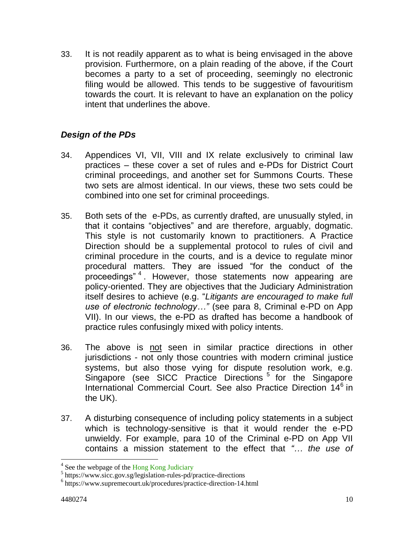33. It is not readily apparent as to what is being envisaged in the above provision. Furthermore, on a plain reading of the above, if the Court becomes a party to a set of proceeding, seemingly no electronic filing would be allowed. This tends to be suggestive of favouritism towards the court. It is relevant to have an explanation on the policy intent that underlines the above.

## *Design of the PDs*

- 34. Appendices VI, VII, VIII and IX relate exclusively to criminal law practices – these cover a set of rules and e-PDs for District Court criminal proceedings, and another set for Summons Courts. These two sets are almost identical. In our views, these two sets could be combined into one set for criminal proceedings.
- 35. Both sets of the e-PDs, as currently drafted, are unusually styled, in that it contains "objectives" and are therefore, arguably, dogmatic. This style is not customarily known to practitioners. A Practice Direction should be a supplemental protocol to rules of civil and criminal procedure in the [courts,](https://en.wikipedia.org/wiki/Court) and is a device to regulate minor procedural matters. They are issued "for the conduct of the proceedings"<sup>4</sup>. However, those statements now appearing are policy-oriented. They are objectives that the Judiciary Administration itself desires to achieve (e.g. "*Litigants are encouraged to make full use of electronic technology…"* (see para 8, Criminal e-PD on App VII). In our views, the e-PD as drafted has become a handbook of practice rules confusingly mixed with policy intents.
- 36. The above is not seen in similar practice directions in other jurisdictions - not only those countries with modern criminal justice systems, but also those vying for dispute resolution work, e.g. Singapore (see SICC Practice Directions<sup>5</sup> for the Singapore International Commercial Court. See also Practice Direction 14<sup>6</sup> in the UK).
- 37. A disturbing consequence of including policy statements in a subject which is technology-sensitive is that it would render the e-PD unwieldy. For example, para 10 of the Criminal e-PD on App VII contains a mission statement to the effect that *"… the use of*

<sup>&</sup>lt;sup>4</sup> See the webpage of the [Hong Kong Judiciary](https://legalref.judiciary.hk/lrs/common/pd/Practice_Directions.jsp)<br><sup>5</sup> https://www.sicc.gov.sg/legislation-rules-pd/practice-directions

<sup>6</sup> https://www.supremecourt.uk/procedures/practice-direction-14.html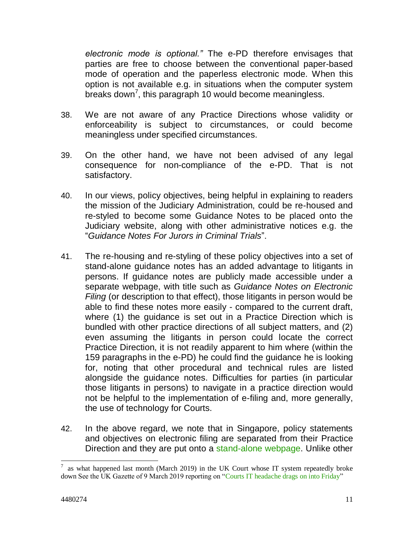*electronic mode is optional."* The e-PD therefore envisages that parties are free to choose between the conventional paper-based mode of operation and the paperless electronic mode. When this option is not available e.g. in situations when the computer system breaks down<sup>7</sup>, this paragraph 10 would become meaningless.

- 38. We are not aware of any Practice Directions whose validity or enforceability is subject to circumstances, or could become meaningless under specified circumstances.
- 39. On the other hand, we have not been advised of any legal consequence for non-compliance of the e-PD. That is not satisfactory.
- 40. In our views, policy objectives, being helpful in explaining to readers the mission of the Judiciary Administration, could be re-housed and re-styled to become some Guidance Notes to be placed onto the Judiciary website, along with other administrative notices e.g. the "*Guidance Notes For Jurors in Criminal Trials*".
- 41. The re-housing and re-styling of these policy objectives into a set of stand-alone guidance notes has an added advantage to litigants in persons. If guidance notes are publicly made accessible under a separate webpage, with title such as *Guidance Notes on Electronic Filing* (or description to that effect), those litigants in person would be able to find these notes more easily - compared to the current draft, where (1) the guidance is set out in a Practice Direction which is bundled with other practice directions of all subject matters, and (2) even assuming the litigants in person could locate the correct Practice Direction, it is not readily apparent to him where (within the 159 paragraphs in the e-PD) he could find the guidance he is looking for, noting that other procedural and technical rules are listed alongside the guidance notes. Difficulties for parties (in particular those litigants in persons) to navigate in a practice direction would not be helpful to the implementation of e-filing and, more generally, the use of technology for Courts.
- 42. In the above regard, we note that in Singapore, policy statements and objectives on electronic filing are separated from their Practice Direction and they are put onto a [stand-alone webpage.](https://www.supremecourt.gov.sg/rules/practice-directions/supreme-court-practice-directions/amendments-2012) Unlike other

 $\overline{a}$ 7 as what happened last month (March 2019) in the UK Court whose IT system repeatedly broke down See the UK Gazette of 9 March 2019 reporting on ["Courts IT headache drags on into Friday"](https://www.lawgazette.co.uk/law/courts-it-headache-drags-on-into-friday/5069554.article)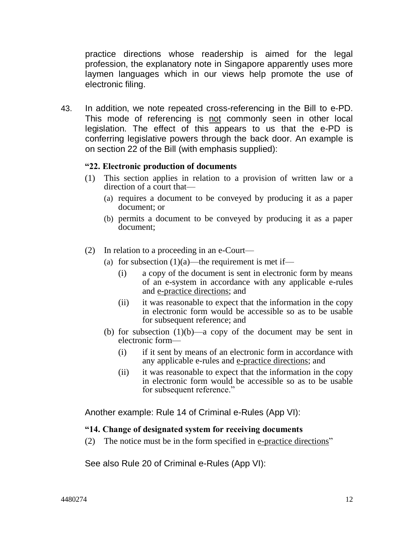practice directions whose readership is aimed for the legal profession, the explanatory note in Singapore apparently uses more laymen languages which in our views help promote the use of electronic filing.

43. In addition, we note repeated cross-referencing in the Bill to e-PD. This mode of referencing is not commonly seen in other local legislation. The effect of this appears to us that the e-PD is conferring legislative powers through the back door. An example is on section 22 of the Bill (with emphasis supplied):

#### **"22. Electronic production of documents**

- (1) This section applies in relation to a provision of written law or a direction of a court that—
	- (a) requires a document to be conveyed by producing it as a paper document; or
	- (b) permits a document to be conveyed by producing it as a paper document;
- (2) In relation to a proceeding in an e-Court—
	- (a) for subsection  $(1)(a)$ —the requirement is met if—
		- (i) a copy of the document is sent in electronic form by means of an e-system in accordance with any applicable e-rules and e-practice directions; and
		- (ii) it was reasonable to expect that the information in the copy in electronic form would be accessible so as to be usable for subsequent reference; and
	- (b) for subsection  $(1)(b)$ —a copy of the document may be sent in electronic form—
		- (i) if it sent by means of an electronic form in accordance with any applicable e-rules and e-practice directions; and
		- (ii) it was reasonable to expect that the information in the copy in electronic form would be accessible so as to be usable for subsequent reference."

Another example: Rule 14 of Criminal e-Rules (App VI):

#### **"14. Change of designated system for receiving documents**

(2) The notice must be in the form specified in e-practice directions"

See also Rule 20 of Criminal e-Rules (App VI):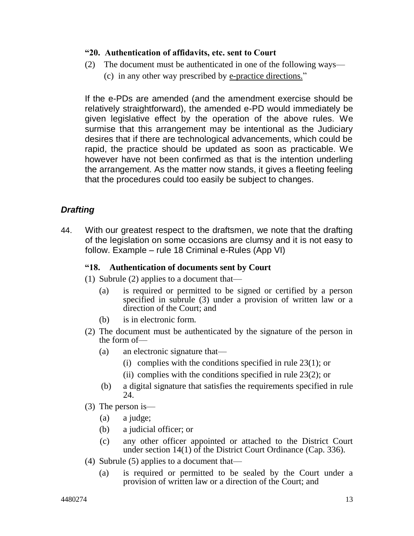#### **"20. Authentication of affidavits, etc. sent to Court**

(2) The document must be authenticated in one of the following ways— (c) in any other way prescribed by e-practice directions."

If the e-PDs are amended (and the amendment exercise should be relatively straightforward), the amended e-PD would immediately be given legislative effect by the operation of the above rules. We surmise that this arrangement may be intentional as the Judiciary desires that if there are technological advancements, which could be rapid, the practice should be updated as soon as practicable. We however have not been confirmed as that is the intention underling the arrangement. As the matter now stands, it gives a fleeting feeling that the procedures could too easily be subject to changes.

# *Drafting*

44. With our greatest respect to the draftsmen, we note that the drafting of the legislation on some occasions are clumsy and it is not easy to follow. Example – rule 18 Criminal e-Rules (App VI)

#### **"18. Authentication of documents sent by Court**

- (1) Subrule (2) applies to a document that—
	- (a) is required or permitted to be signed or certified by a person specified in subrule (3) under a provision of written law or a direction of the Court; and
	- (b) is in electronic form.
- (2) The document must be authenticated by the signature of the person in the form of—
	- (a) an electronic signature that—
		- (i) complies with the conditions specified in rule  $23(1)$ ; or
		- (ii) complies with the conditions specified in rule  $23(2)$ ; or
	- (b) a digital signature that satisfies the requirements specified in rule 24.
- (3) The person is—
	- (a) a judge;
	- (b) a judicial officer; or
	- (c) any other officer appointed or attached to the District Court under section  $14(1)$  of the District Court Ordinance (Cap. 336).
- (4) Subrule (5) applies to a document that—
	- (a) is required or permitted to be sealed by the Court under a provision of written law or a direction of the Court; and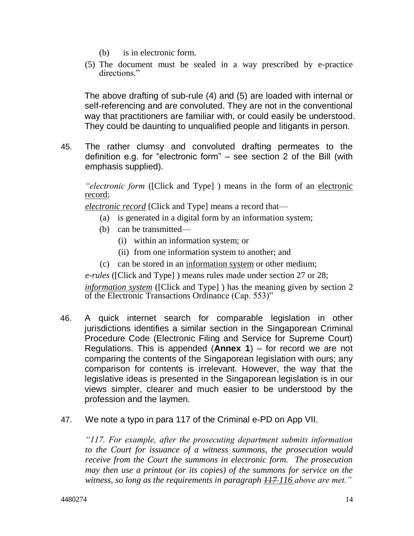- (b) is in electronic form.
- (5) The document must be sealed in a way prescribed by e-practice directions."

The above drafting of sub-rule (4) and (5) are loaded with internal or self-referencing and are convoluted. They are not in the conventional way that practitioners are familiar with, or could easily be understood. They could be daunting to unqualified people and litigants in person.

45. The rather clumsy and convoluted drafting permeates to the definition e.g. for "electronic form" – see section 2 of the Bill (with emphasis supplied).

*"electronic form* ([Click and Type] ) means in the form of an electronic record;

*electronic record* [Click and Type] means a record that—

- (a) is generated in a digital form by an information system;
- (b) can be transmitted—
	- (i) within an information system; or
	- (ii) from one information system to another; and
- (c) can be stored in an information system or other medium;

*e-rules* ([Click and Type] ) means rules made under section 27 or 28;

*information system* ([Click and Type] ) has the meaning given by section 2 of the Electronic Transactions Ordinance (Cap. 553)"

- 46. A quick internet search for comparable legislation in other jurisdictions identifies a similar section in the Singaporean Criminal Procedure Code (Electronic Filing and Service for Supreme Court) Regulations. This is appended (**Annex 1**) – for record we are not comparing the contents of the Singaporean legislation with ours; any comparison for contents is irrelevant. However, the way that the legislative ideas is presented in the Singaporean legislation is in our views simpler, clearer and much easier to be understood by the profession and the laymen.
- 47. We note a typo in para 117 of the Criminal e-PD on App VII.

*"117. For example, after the prosecuting department submits information to the Court for issuance of a witness summons, the prosecution would receive from the Court the summons in electronic form. The prosecution may then use a printout (or its copies) of the summons for service on the witness, so long as the requirements in paragraph 117 116 above are met."*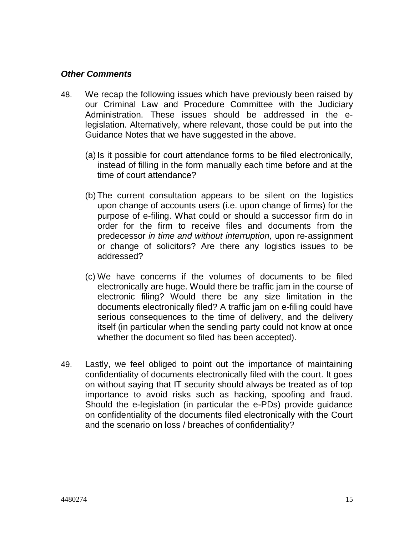### *Other Comments*

- 48. We recap the following issues which have previously been raised by our Criminal Law and Procedure Committee with the Judiciary Administration. These issues should be addressed in the elegislation. Alternatively, where relevant, those could be put into the Guidance Notes that we have suggested in the above.
	- (a) Is it possible for court attendance forms to be filed electronically, instead of filling in the form manually each time before and at the time of court attendance?
	- (b) The current consultation appears to be silent on the logistics upon change of accounts users (i.e. upon change of firms) for the purpose of e-filing. What could or should a successor firm do in order for the firm to receive files and documents from the predecessor *in time and without interruption,* upon re-assignment or change of solicitors? Are there any logistics issues to be addressed?
	- (c) We have concerns if the volumes of documents to be filed electronically are huge. Would there be traffic jam in the course of electronic filing? Would there be any size limitation in the documents electronically filed? A traffic jam on e-filing could have serious consequences to the time of delivery, and the delivery itself (in particular when the sending party could not know at once whether the document so filed has been accepted).
- 49. Lastly, we feel obliged to point out the importance of maintaining confidentiality of documents electronically filed with the court. It goes on without saying that IT security should always be treated as of top importance to avoid risks such as hacking, spoofing and fraud. Should the e-legislation (in particular the e-PDs) provide guidance on confidentiality of the documents filed electronically with the Court and the scenario on loss / breaches of confidentiality?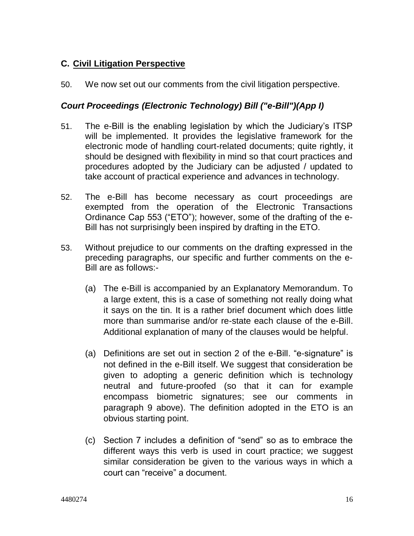## **C. Civil Litigation Perspective**

50. We now set out our comments from the civil litigation perspective.

### *Court Proceedings (Electronic Technology) Bill ("e-Bill")(App I)*

- 51. The e-Bill is the enabling legislation by which the Judiciary's ITSP will be implemented. It provides the legislative framework for the electronic mode of handling court-related documents; quite rightly, it should be designed with flexibility in mind so that court practices and procedures adopted by the Judiciary can be adjusted / updated to take account of practical experience and advances in technology.
- 52. The e-Bill has become necessary as court proceedings are exempted from the operation of the Electronic Transactions Ordinance Cap 553 ("ETO"); however, some of the drafting of the e-Bill has not surprisingly been inspired by drafting in the ETO.
- 53. Without prejudice to our comments on the drafting expressed in the preceding paragraphs, our specific and further comments on the e-Bill are as follows:-
	- (a) The e-Bill is accompanied by an Explanatory Memorandum. To a large extent, this is a case of something not really doing what it says on the tin. It is a rather brief document which does little more than summarise and/or re-state each clause of the e-Bill. Additional explanation of many of the clauses would be helpful.
	- (a) Definitions are set out in section 2 of the e-Bill. "e-signature" is not defined in the e-Bill itself. We suggest that consideration be given to adopting a generic definition which is technology neutral and future-proofed (so that it can for example encompass biometric signatures; see our comments in paragraph 9 above). The definition adopted in the ETO is an obvious starting point.
	- (c) Section 7 includes a definition of "send" so as to embrace the different ways this verb is used in court practice; we suggest similar consideration be given to the various ways in which a court can "receive" a document.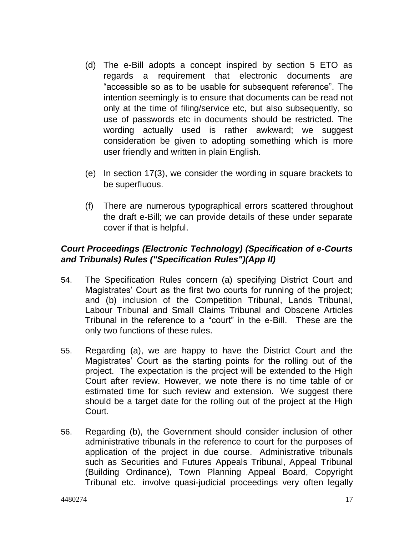- (d) The e-Bill adopts a concept inspired by section 5 ETO as regards a requirement that electronic documents are "accessible so as to be usable for subsequent reference". The intention seemingly is to ensure that documents can be read not only at the time of filing/service etc, but also subsequently, so use of passwords etc in documents should be restricted. The wording actually used is rather awkward; we suggest consideration be given to adopting something which is more user friendly and written in plain English.
- (e) In section 17(3), we consider the wording in square brackets to be superfluous.
- (f) There are numerous typographical errors scattered throughout the draft e-Bill; we can provide details of these under separate cover if that is helpful.

## *Court Proceedings (Electronic Technology) (Specification of e-Courts and Tribunals) Rules ("Specification Rules")(App II)*

- 54. The Specification Rules concern (a) specifying District Court and Magistrates' Court as the first two courts for running of the project; and (b) inclusion of the Competition Tribunal, Lands Tribunal, Labour Tribunal and Small Claims Tribunal and Obscene Articles Tribunal in the reference to a "court" in the e-Bill. These are the only two functions of these rules.
- 55. Regarding (a), we are happy to have the District Court and the Magistrates' Court as the starting points for the rolling out of the project. The expectation is the project will be extended to the High Court after review. However, we note there is no time table of or estimated time for such review and extension. We suggest there should be a target date for the rolling out of the project at the High Court.
- 56. Regarding (b), the Government should consider inclusion of other administrative tribunals in the reference to court for the purposes of application of the project in due course. Administrative tribunals such as Securities and Futures Appeals Tribunal, Appeal Tribunal (Building Ordinance), Town Planning Appeal Board, Copyright Tribunal etc. involve quasi-judicial proceedings very often legally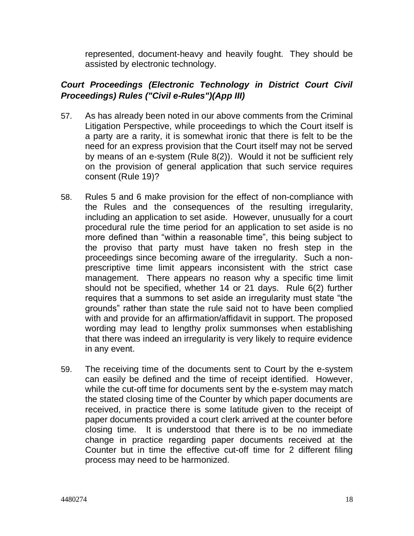represented, document-heavy and heavily fought. They should be assisted by electronic technology.

## *Court Proceedings (Electronic Technology in District Court Civil Proceedings) Rules ("Civil e-Rules")(App III)*

- 57. As has already been noted in our above comments from the Criminal Litigation Perspective, while proceedings to which the Court itself is a party are a rarity, it is somewhat ironic that there is felt to be the need for an express provision that the Court itself may not be served by means of an e-system (Rule 8(2)). Would it not be sufficient rely on the provision of general application that such service requires consent (Rule 19)?
- 58. Rules 5 and 6 make provision for the effect of non-compliance with the Rules and the consequences of the resulting irregularity, including an application to set aside. However, unusually for a court procedural rule the time period for an application to set aside is no more defined than "within a reasonable time", this being subject to the proviso that party must have taken no fresh step in the proceedings since becoming aware of the irregularity. Such a nonprescriptive time limit appears inconsistent with the strict case management. There appears no reason why a specific time limit should not be specified, whether 14 or 21 days. Rule 6(2) further requires that a summons to set aside an irregularity must state "the grounds" rather than state the rule said not to have been complied with and provide for an affirmation/affidavit in support. The proposed wording may lead to lengthy prolix summonses when establishing that there was indeed an irregularity is very likely to require evidence in any event.
- 59. The receiving time of the documents sent to Court by the e-system can easily be defined and the time of receipt identified. However, while the cut-off time for documents sent by the e-system may match the stated closing time of the Counter by which paper documents are received, in practice there is some latitude given to the receipt of paper documents provided a court clerk arrived at the counter before closing time. It is understood that there is to be no immediate change in practice regarding paper documents received at the Counter but in time the effective cut-off time for 2 different filing process may need to be harmonized.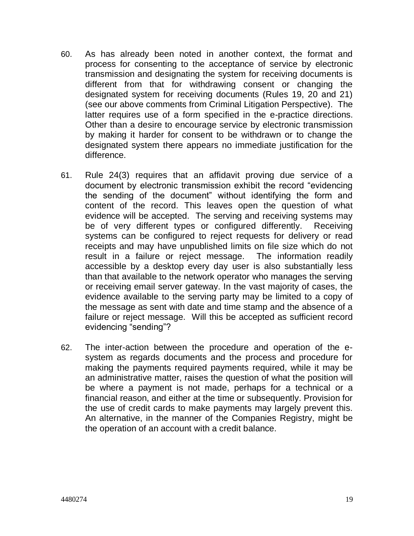- 60. As has already been noted in another context, the format and process for consenting to the acceptance of service by electronic transmission and designating the system for receiving documents is different from that for withdrawing consent or changing the designated system for receiving documents (Rules 19, 20 and 21) (see our above comments from Criminal Litigation Perspective). The latter requires use of a form specified in the e-practice directions. Other than a desire to encourage service by electronic transmission by making it harder for consent to be withdrawn or to change the designated system there appears no immediate justification for the difference.
- 61. Rule 24(3) requires that an affidavit proving due service of a document by electronic transmission exhibit the record "evidencing the sending of the document" without identifying the form and content of the record. This leaves open the question of what evidence will be accepted. The serving and receiving systems may be of very different types or configured differently. Receiving systems can be configured to reject requests for delivery or read receipts and may have unpublished limits on file size which do not result in a failure or reject message. The information readily accessible by a desktop every day user is also substantially less than that available to the network operator who manages the serving or receiving email server gateway. In the vast majority of cases, the evidence available to the serving party may be limited to a copy of the message as sent with date and time stamp and the absence of a failure or reject message. Will this be accepted as sufficient record evidencing "sending"?
- 62. The inter-action between the procedure and operation of the esystem as regards documents and the process and procedure for making the payments required payments required, while it may be an administrative matter, raises the question of what the position will be where a payment is not made, perhaps for a technical or a financial reason, and either at the time or subsequently. Provision for the use of credit cards to make payments may largely prevent this. An alternative, in the manner of the Companies Registry, might be the operation of an account with a credit balance.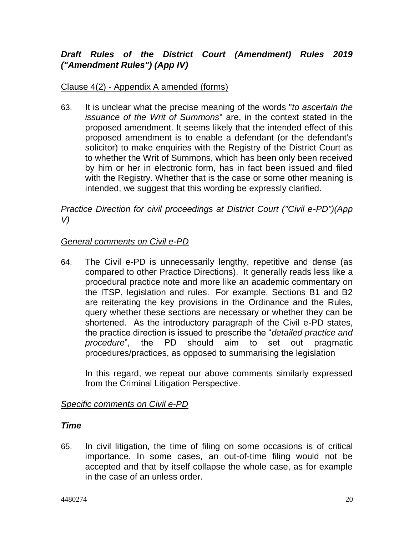# *Draft Rules of the District Court (Amendment) Rules 2019 ("Amendment Rules") (App IV)*

## Clause 4(2) - Appendix A amended (forms)

63. It is unclear what the precise meaning of the words "*to ascertain the issuance of the Writ of Summons*" are, in the context stated in the proposed amendment. It seems likely that the intended effect of this proposed amendment is to enable a defendant (or the defendant's solicitor) to make enquiries with the Registry of the District Court as to whether the Writ of Summons, which has been only been received by him or her in electronic form, has in fact been issued and filed with the Registry. Whether that is the case or some other meaning is intended, we suggest that this wording be expressly clarified.

*Practice Direction for civil proceedings at District Court ("Civil e-PD")(App V)*

### *General comments on Civil e-PD*

64. The Civil e-PD is unnecessarily lengthy, repetitive and dense (as compared to other Practice Directions). It generally reads less like a procedural practice note and more like an academic commentary on the ITSP, legislation and rules. For example, Sections B1 and B2 are reiterating the key provisions in the Ordinance and the Rules, query whether these sections are necessary or whether they can be shortened. As the introductory paragraph of the Civil e-PD states, the practice direction is issued to prescribe the "*detailed practice and procedure*", the PD should aim to set out pragmatic procedures/practices, as opposed to summarising the legislation

In this regard, we repeat our above comments similarly expressed from the Criminal Litigation Perspective.

## *Specific comments on Civil e-PD*

## *Time*

65. In civil litigation, the time of filing on some occasions is of critical importance. In some cases, an out-of-time filing would not be accepted and that by itself collapse the whole case, as for example in the case of an unless order.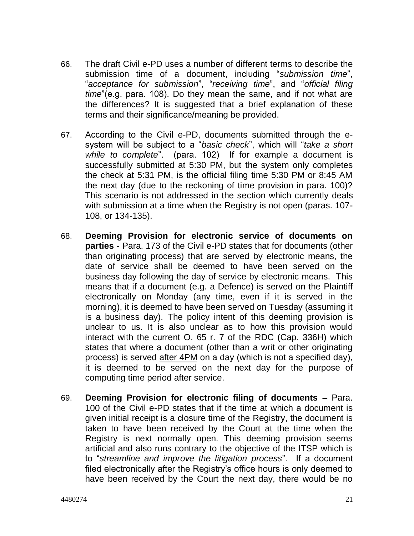- 66. The draft Civil e-PD uses a number of different terms to describe the submission time of a document, including "*submission time*", "*acceptance for submission*", "*receiving time*", and "*official filing time*"(e.g. para. 108). Do they mean the same, and if not what are the differences? It is suggested that a brief explanation of these terms and their significance/meaning be provided.
- 67. According to the Civil e-PD, documents submitted through the esystem will be subject to a "*basic check*", which will "*take a short while to complete*". (para. 102) If for example a document is successfully submitted at 5:30 PM, but the system only completes the check at 5:31 PM, is the official filing time 5:30 PM or 8:45 AM the next day (due to the reckoning of time provision in para. 100)? This scenario is not addressed in the section which currently deals with submission at a time when the Registry is not open (paras. 107- 108, or 134-135).
- 68. **Deeming Provision for electronic service of documents on parties -** Para. 173 of the Civil e-PD states that for documents (other than originating process) that are served by electronic means, the date of service shall be deemed to have been served on the business day following the day of service by electronic means. This means that if a document (e.g. a Defence) is served on the Plaintiff electronically on Monday (any time, even if it is served in the morning), it is deemed to have been served on Tuesday (assuming it is a business day). The policy intent of this deeming provision is unclear to us. It is also unclear as to how this provision would interact with the current O. 65 r. 7 of the RDC (Cap. 336H) which states that where a document (other than a writ or other originating process) is served after 4PM on a day (which is not a specified day), it is deemed to be served on the next day for the purpose of computing time period after service.
- 69. **Deeming Provision for electronic filing of documents –** Para. 100 of the Civil e-PD states that if the time at which a document is given initial receipt is a closure time of the Registry, the document is taken to have been received by the Court at the time when the Registry is next normally open. This deeming provision seems artificial and also runs contrary to the objective of the ITSP which is to "*streamline and improve the litigation process*". If a document filed electronically after the Registry's office hours is only deemed to have been received by the Court the next day, there would be no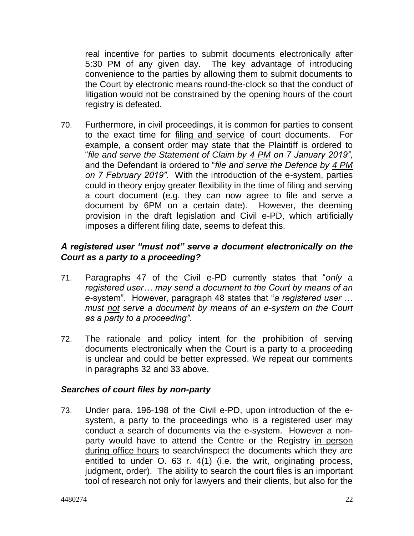real incentive for parties to submit documents electronically after 5:30 PM of any given day. The key advantage of introducing convenience to the parties by allowing them to submit documents to the Court by electronic means round-the-clock so that the conduct of litigation would not be constrained by the opening hours of the court registry is defeated.

70. Furthermore, in civil proceedings, it is common for parties to consent to the exact time for filing and service of court documents. For example, a consent order may state that the Plaintiff is ordered to "*file and serve the Statement of Claim by 4 PM on 7 January 2019",*  and the Defendant is ordered to "*file and serve the Defence by 4 PM on 7 February 2019"*. With the introduction of the e-system, parties could in theory enjoy greater flexibility in the time of filing and serving a court document (e.g. they can now agree to file and serve a document by 6PM on a certain date). However, the deeming provision in the draft legislation and Civil e-PD, which artificially imposes a different filing date, seems to defeat this.

## *A registered user "must not" serve a document electronically on the Court as a party to a proceeding?*

- 71. Paragraphs 47 of the Civil e-PD currently states that "*only a registered user… may send a document to the Court by means of an e-*system". However, paragraph 48 states that "*a registered user … must not serve a document by means of an e-system on the Court as a party to a proceeding"*.
- 72. The rationale and policy intent for the prohibition of serving documents electronically when the Court is a party to a proceeding is unclear and could be better expressed. We repeat our comments in paragraphs 32 and 33 above.

### *Searches of court files by non-party*

73. Under para. 196-198 of the Civil e-PD, upon introduction of the esystem, a party to the proceedings who is a registered user may conduct a search of documents via the e-system. However a nonparty would have to attend the Centre or the Registry in person during office hours to search/inspect the documents which they are entitled to under O. 63 r. 4(1) (i.e. the writ, originating process, judgment, order). The ability to search the court files is an important tool of research not only for lawyers and their clients, but also for the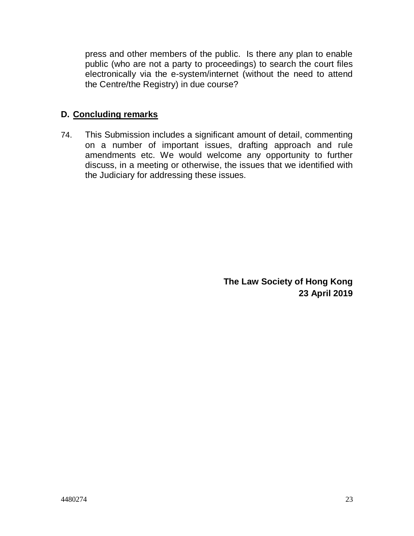press and other members of the public. Is there any plan to enable public (who are not a party to proceedings) to search the court files electronically via the e-system/internet (without the need to attend the Centre/the Registry) in due course?

## **D. Concluding remarks**

74. This Submission includes a significant amount of detail, commenting on a number of important issues, drafting approach and rule amendments etc. We would welcome any opportunity to further discuss, in a meeting or otherwise, the issues that we identified with the Judiciary for addressing these issues.

> **The Law Society of Hong Kong 23 April 2019**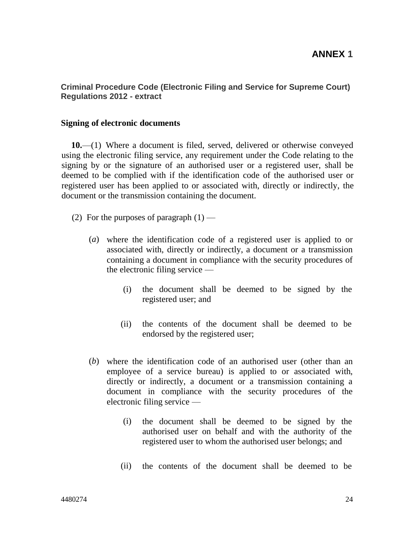### **ANNEX 1**

#### **Criminal Procedure Code (Electronic Filing and Service for Supreme Court) Regulations 2012 - extract**

#### **Signing of electronic documents**

**10.**—(1) Where a document is filed, served, delivered or otherwise conveyed using the electronic filing service, any requirement under the Code relating to the signing by or the signature of an authorised user or a registered user, shall be deemed to be complied with if the identification code of the authorised user or registered user has been applied to or associated with, directly or indirectly, the document or the transmission containing the document.

- (2) For the purposes of paragraph  $(1)$ 
	- (*a*) where the identification code of a registered user is applied to or associated with, directly or indirectly, a document or a transmission containing a document in compliance with the security procedures of the electronic filing service —
		- (i) the document shall be deemed to be signed by the registered user; and
		- (ii) the contents of the document shall be deemed to be endorsed by the registered user;
	- (*b*) where the identification code of an authorised user (other than an employee of a service bureau) is applied to or associated with, directly or indirectly, a document or a transmission containing a document in compliance with the security procedures of the electronic filing service —
		- (i) the document shall be deemed to be signed by the authorised user on behalf and with the authority of the registered user to whom the authorised user belongs; and
		- (ii) the contents of the document shall be deemed to be